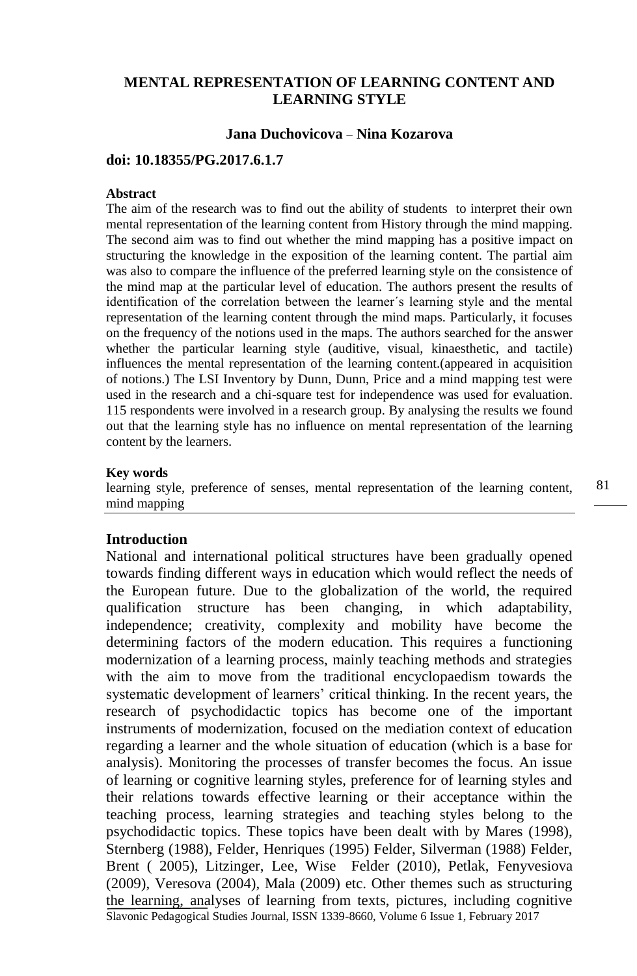# **MENTAL REPRESENTATION OF LEARNING CONTENT AND LEARNING STYLE**

### **Jana Duchovicova** – **Nina Kozarova**

# **doi: 10.18355/PG.2017.6.1.7**

## **Abstract**

The aim of the research was to find out the ability of students to interpret their own mental representation of the learning content from History through the mind mapping. The second aim was to find out whether the mind mapping has a positive impact on structuring the knowledge in the exposition of the learning content. The partial aim was also to compare the influence of the preferred learning style on the consistence of the mind map at the particular level of education. The authors present the results of identification of the correlation between the learner´s learning style and the mental representation of the learning content through the mind maps. Particularly, it focuses on the frequency of the notions used in the maps. The authors searched for the answer whether the particular learning style (auditive, visual, kinaesthetic, and tactile) influences the mental representation of the learning content.(appeared in acquisition of notions.) The LSI Inventory by Dunn, Dunn, Price and a mind mapping test were used in the research and a chi-square test for independence was used for evaluation. 115 respondents were involved in a research group. By analysing the results we found out that the learning style has no influence on mental representation of the learning content by the learners.

#### **Key words**

learning style, preference of senses, mental representation of the learning content, mind mapping

### **Introduction**

Slavonic Pedagogical Studies Journal, ISSN 1339-8660, Volume 6 Issue 1, February 2017 National and international political structures have been gradually opened towards finding different ways in education which would reflect the needs of the European future. Due to the globalization of the world, the required qualification structure has been changing, in which adaptability, independence; creativity, complexity and mobility have become the determining factors of the modern education. This requires a functioning modernization of a learning process, mainly teaching methods and strategies with the aim to move from the traditional encyclopaedism towards the systematic development of learners' critical thinking. In the recent years, the research of psychodidactic topics has become one of the important instruments of modernization, focused on the mediation context of education regarding a learner and the whole situation of education (which is a base for analysis). Monitoring the processes of transfer becomes the focus. An issue of learning or cognitive learning styles, preference for of learning styles and their relations towards effective learning or their acceptance within the teaching process, learning strategies and teaching styles belong to the psychodidactic topics. These topics have been dealt with by Mares (1998), Sternberg (1988), Felder, Henriques (1995) Felder, Silverman (1988) Felder, Brent ( 2005), Litzinger, Lee, Wise Felder (2010), Petlak, Fenyvesiova (2009), Veresova (2004), Mala (2009) etc. Other themes such as structuring the learning, analyses of learning from texts, pictures, including cognitive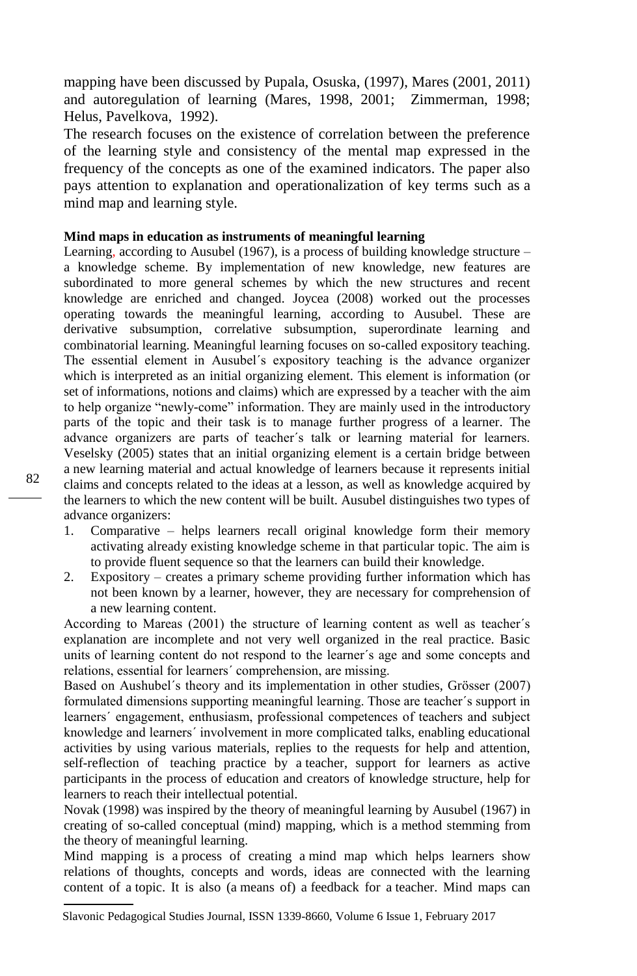mapping have been discussed by Pupala, Osuska, (1997), Mares (2001, 2011) and autoregulation of learning (Mares, 1998, 2001; Zimmerman, 1998; Helus, Pavelkova, 1992).

The research focuses on the existence of correlation between the preference of the learning style and consistency of the mental map expressed in the frequency of the concepts as one of the examined indicators. The paper also pays attention to explanation and operationalization of key terms such as a mind map and learning style.

## **Mind maps in education as instruments of meaningful learning**

Learning, according to Ausubel (1967), is a process of building knowledge structure – a knowledge scheme. By implementation of new knowledge, new features are subordinated to more general schemes by which the new structures and recent knowledge are enriched and changed. Joycea (2008) worked out the processes operating towards the meaningful learning, according to Ausubel. These are derivative subsumption, correlative subsumption, superordinate learning and combinatorial learning. Meaningful learning focuses on so-called expository teaching. The essential element in Ausubel´s expository teaching is the advance organizer which is interpreted as an initial organizing element. This element is information (or set of informations, notions and claims) which are expressed by a teacher with the aim to help organize "newly-come" information. They are mainly used in the introductory parts of the topic and their task is to manage further progress of a learner. The advance organizers are parts of teacher´s talk or learning material for learners. Veselsky (2005) states that an initial organizing element is a certain bridge between a new learning material and actual knowledge of learners because it represents initial claims and concepts related to the ideas at a lesson, as well as knowledge acquired by the learners to which the new content will be built. Ausubel distinguishes two types of advance organizers:

- 1. Comparative helps learners recall original knowledge form their memory activating already existing knowledge scheme in that particular topic. The aim is to provide fluent sequence so that the learners can build their knowledge.
- 2. Expository creates a primary scheme providing further information which has not been known by a learner, however, they are necessary for comprehension of a new learning content.

According to Mareas (2001) the structure of learning content as well as teacher´s explanation are incomplete and not very well organized in the real practice. Basic units of learning content do not respond to the learner´s age and some concepts and relations, essential for learners´ comprehension, are missing.

Based on Aushubel´s theory and its implementation in other studies, Grösser (2007) formulated dimensions supporting meaningful learning. Those are teacher´s support in learners´ engagement, enthusiasm, professional competences of teachers and subject knowledge and learners´ involvement in more complicated talks, enabling educational activities by using various materials, replies to the requests for help and attention, self-reflection of teaching practice by a teacher, support for learners as active participants in the process of education and creators of knowledge structure, help for learners to reach their intellectual potential.

Novak (1998) was inspired by the theory of meaningful learning by Ausubel (1967) in creating of so-called conceptual (mind) mapping, which is a method stemming from the theory of meaningful learning.

Mind mapping is a process of creating a mind map which helps learners show relations of thoughts, concepts and words, ideas are connected with the learning content of a topic. It is also (a means of) a feedback for a teacher. Mind maps can

Slavonic Pedagogical Studies Journal, ISSN 1339-8660, Volume 6 Issue 1, February 2017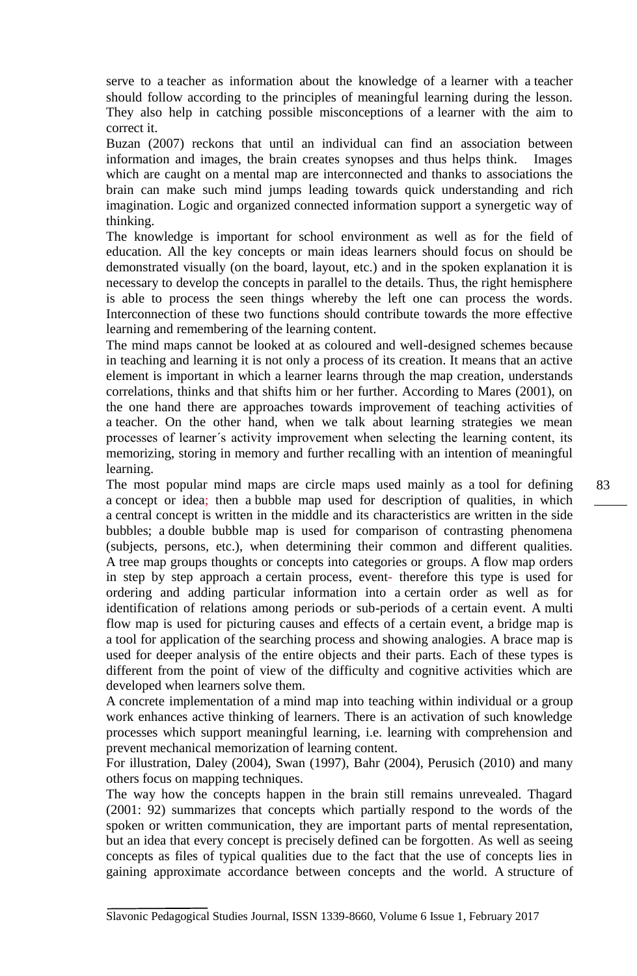serve to a teacher as information about the knowledge of a learner with a teacher should follow according to the principles of meaningful learning during the lesson. They also help in catching possible misconceptions of a learner with the aim to correct it.

Buzan (2007) reckons that until an individual can find an association between information and images, the brain creates synopses and thus helps think. Images which are caught on a mental map are interconnected and thanks to associations the brain can make such mind jumps leading towards quick understanding and rich imagination. Logic and organized connected information support a synergetic way of thinking.

The knowledge is important for school environment as well as for the field of education. All the key concepts or main ideas learners should focus on should be demonstrated visually (on the board, layout, etc.) and in the spoken explanation it is necessary to develop the concepts in parallel to the details. Thus, the right hemisphere is able to process the seen things whereby the left one can process the words. Interconnection of these two functions should contribute towards the more effective learning and remembering of the learning content.

The mind maps cannot be looked at as coloured and well-designed schemes because in teaching and learning it is not only a process of its creation. It means that an active element is important in which a learner learns through the map creation, understands correlations, thinks and that shifts him or her further. According to Mares (2001), on the one hand there are approaches towards improvement of teaching activities of a teacher. On the other hand, when we talk about learning strategies we mean processes of learner´s activity improvement when selecting the learning content, its memorizing, storing in memory and further recalling with an intention of meaningful learning.

The most popular mind maps are circle maps used mainly as a tool for defining a concept or idea; then a bubble map used for description of qualities, in which a central concept is written in the middle and its characteristics are written in the side bubbles; a double bubble map is used for comparison of contrasting phenomena (subjects, persons, etc.), when determining their common and different qualities. A tree map groups thoughts or concepts into categories or groups. A flow map orders in step by step approach a certain process, event- therefore this type is used for ordering and adding particular information into a certain order as well as for identification of relations among periods or sub-periods of a certain event. A multi flow map is used for picturing causes and effects of a certain event, a bridge map is a tool for application of the searching process and showing analogies. A brace map is used for deeper analysis of the entire objects and their parts. Each of these types is different from the point of view of the difficulty and cognitive activities which are developed when learners solve them.

A concrete implementation of a mind map into teaching within individual or a group work enhances active thinking of learners. There is an activation of such knowledge processes which support meaningful learning, i.e. learning with comprehension and prevent mechanical memorization of learning content.

For illustration, Daley (2004), Swan (1997), Bahr (2004), Perusich (2010) and many others focus on mapping techniques.

The way how the concepts happen in the brain still remains unrevealed. Thagard (2001: 92) summarizes that concepts which partially respond to the words of the spoken or written communication, they are important parts of mental representation, but an idea that every concept is precisely defined can be forgotten. As well as seeing concepts as files of typical qualities due to the fact that the use of concepts lies in gaining approximate accordance between concepts and the world. A structure of 83

Slavonic Pedagogical Studies Journal, ISSN 1339-8660, Volume 6 Issue 1, February 2017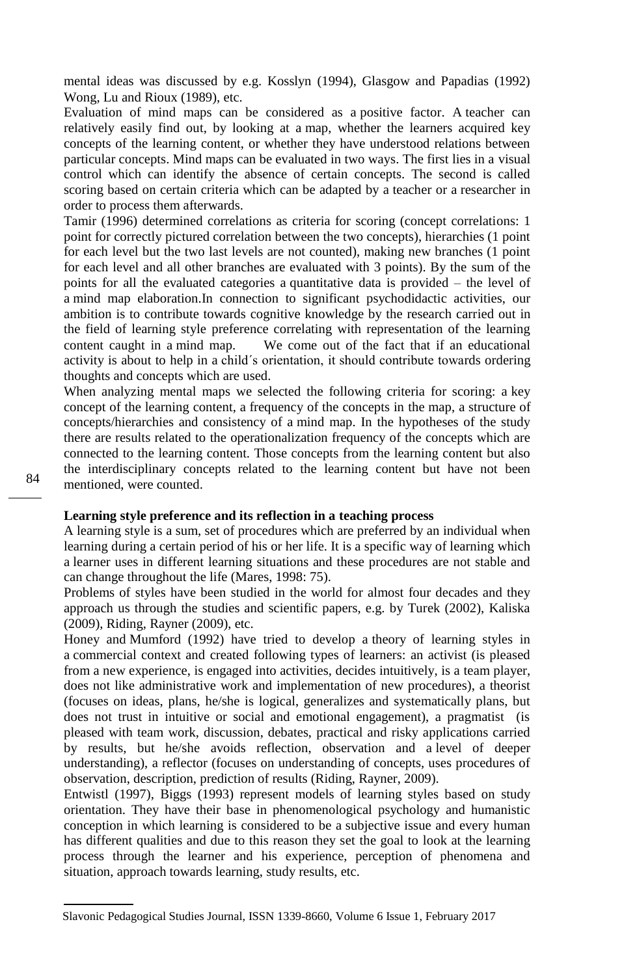mental ideas was discussed by e.g. Kosslyn (1994), Glasgow and Papadias (1992) Wong, Lu and Rioux (1989), etc.

Evaluation of mind maps can be considered as a positive factor. A teacher can relatively easily find out, by looking at a map, whether the learners acquired key concepts of the learning content, or whether they have understood relations between particular concepts. Mind maps can be evaluated in two ways. The first lies in a visual control which can identify the absence of certain concepts. The second is called scoring based on certain criteria which can be adapted by a teacher or a researcher in order to process them afterwards.

Tamir (1996) determined correlations as criteria for scoring (concept correlations: 1 point for correctly pictured correlation between the two concepts), hierarchies (1 point for each level but the two last levels are not counted), making new branches (1 point for each level and all other branches are evaluated with 3 points). By the sum of the points for all the evaluated categories a quantitative data is provided – the level of a mind map elaboration.In connection to significant psychodidactic activities, our ambition is to contribute towards cognitive knowledge by the research carried out in the field of learning style preference correlating with representation of the learning content caught in a mind map. We come out of the fact that if an educational activity is about to help in a child´s orientation, it should contribute towards ordering thoughts and concepts which are used.

When analyzing mental maps we selected the following criteria for scoring: a key concept of the learning content, a frequency of the concepts in the map, a structure of concepts/hierarchies and consistency of a mind map. In the hypotheses of the study there are results related to the operationalization frequency of the concepts which are connected to the learning content. Those concepts from the learning content but also the interdisciplinary concepts related to the learning content but have not been mentioned, were counted.

## **Learning style preference and its reflection in a teaching process**

A learning style is a sum, set of procedures which are preferred by an individual when learning during a certain period of his or her life. It is a specific way of learning which a learner uses in different learning situations and these procedures are not stable and can change throughout the life (Mares, 1998: 75).

Problems of styles have been studied in the world for almost four decades and they approach us through the studies and scientific papers, e.g. by Turek (2002), Kaliska (2009), Riding, Rayner (2009), etc.

Honey and Mumford (1992) have tried to develop a theory of learning styles in a commercial context and created following types of learners: an activist (is pleased from a new experience, is engaged into activities, decides intuitively, is a team player, does not like administrative work and implementation of new procedures), a theorist (focuses on ideas, plans, he/she is logical, generalizes and systematically plans, but does not trust in intuitive or social and emotional engagement), a pragmatist (is pleased with team work, discussion, debates, practical and risky applications carried by results, but he/she avoids reflection, observation and a level of deeper understanding), a reflector (focuses on understanding of concepts, uses procedures of observation, description, prediction of results (Riding, Rayner, 2009).

Entwistl (1997), Biggs (1993) represent models of learning styles based on study orientation. They have their base in phenomenological psychology and humanistic conception in which learning is considered to be a subjective issue and every human has different qualities and due to this reason they set the goal to look at the learning process through the learner and his experience, perception of phenomena and situation, approach towards learning, study results, etc.

Slavonic Pedagogical Studies Journal, ISSN 1339-8660, Volume 6 Issue 1, February 2017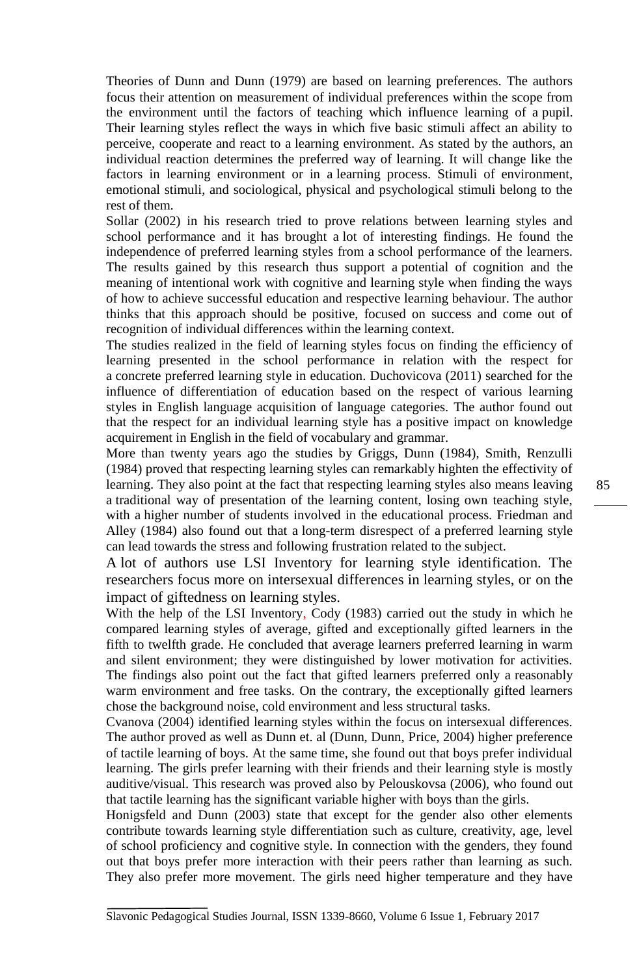Theories of Dunn and Dunn (1979) are based on learning preferences. The authors focus their attention on measurement of individual preferences within the scope from the environment until the factors of teaching which influence learning of a pupil. Their learning styles reflect the ways in which five basic stimuli affect an ability to perceive, cooperate and react to a learning environment. As stated by the authors, an individual reaction determines the preferred way of learning. It will change like the factors in learning environment or in a learning process. Stimuli of environment, emotional stimuli, and sociological, physical and psychological stimuli belong to the rest of them.

Sollar (2002) in his research tried to prove relations between learning styles and school performance and it has brought a lot of interesting findings. He found the independence of preferred learning styles from a school performance of the learners. The results gained by this research thus support a potential of cognition and the meaning of intentional work with cognitive and learning style when finding the ways of how to achieve successful education and respective learning behaviour. The author thinks that this approach should be positive, focused on success and come out of recognition of individual differences within the learning context.

The studies realized in the field of learning styles focus on finding the efficiency of learning presented in the school performance in relation with the respect for a concrete preferred learning style in education. Duchovicova (2011) searched for the influence of differentiation of education based on the respect of various learning styles in English language acquisition of language categories. The author found out that the respect for an individual learning style has a positive impact on knowledge acquirement in English in the field of vocabulary and grammar.

More than twenty years ago the studies by Griggs, Dunn (1984), Smith, Renzulli (1984) proved that respecting learning styles can remarkably highten the effectivity of learning. They also point at the fact that respecting learning styles also means leaving a traditional way of presentation of the learning content, losing own teaching style, with a higher number of students involved in the educational process. Friedman and Alley (1984) also found out that a long-term disrespect of a preferred learning style can lead towards the stress and following frustration related to the subject.

A lot of authors use LSI Inventory for learning style identification. The researchers focus more on intersexual differences in learning styles, or on the impact of giftedness on learning styles.

With the help of the LSI Inventory, Cody (1983) carried out the study in which he compared learning styles of average, gifted and exceptionally gifted learners in the fifth to twelfth grade. He concluded that average learners preferred learning in warm and silent environment; they were distinguished by lower motivation for activities. The findings also point out the fact that gifted learners preferred only a reasonably warm environment and free tasks. On the contrary, the exceptionally gifted learners chose the background noise, cold environment and less structural tasks.

Cvanova (2004) identified learning styles within the focus on intersexual differences. The author proved as well as Dunn et. al (Dunn, Dunn, Price, 2004) higher preference of tactile learning of boys. At the same time, she found out that boys prefer individual learning. The girls prefer learning with their friends and their learning style is mostly auditive/visual. This research was proved also by Pelouskovsa (2006), who found out that tactile learning has the significant variable higher with boys than the girls.

Honigsfeld and Dunn (2003) state that except for the gender also other elements contribute towards learning style differentiation such as culture, creativity, age, level of school proficiency and cognitive style. In connection with the genders, they found out that boys prefer more interaction with their peers rather than learning as such. They also prefer more movement. The girls need higher temperature and they have

Slavonic Pedagogical Studies Journal, ISSN 1339-8660, Volume 6 Issue 1, February 2017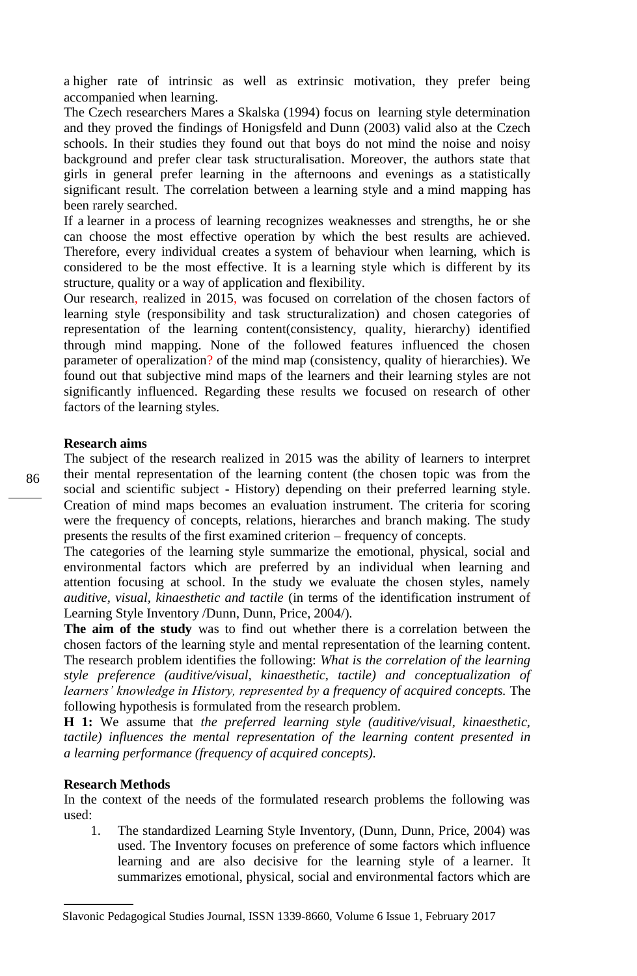a higher rate of intrinsic as well as extrinsic motivation, they prefer being accompanied when learning.

The Czech researchers Mares a Skalska (1994) focus on learning style determination and they proved the findings of Honigsfeld and Dunn (2003) valid also at the Czech schools. In their studies they found out that boys do not mind the noise and noisy background and prefer clear task structuralisation. Moreover, the authors state that girls in general prefer learning in the afternoons and evenings as a statistically significant result. The correlation between a learning style and a mind mapping has been rarely searched.

If a learner in a process of learning recognizes weaknesses and strengths, he or she can choose the most effective operation by which the best results are achieved. Therefore, every individual creates a system of behaviour when learning, which is considered to be the most effective. It is a learning style which is different by its structure, quality or a way of application and flexibility.

Our research, realized in 2015, was focused on correlation of the chosen factors of learning style (responsibility and task structuralization) and chosen categories of representation of the learning content(consistency, quality, hierarchy) identified through mind mapping. None of the followed features influenced the chosen parameter of operalization? of the mind map (consistency, quality of hierarchies). We found out that subjective mind maps of the learners and their learning styles are not significantly influenced. Regarding these results we focused on research of other factors of the learning styles.

#### **Research aims**

The subject of the research realized in 2015 was the ability of learners to interpret their mental representation of the learning content (the chosen topic was from the social and scientific subject - History) depending on their preferred learning style. Creation of mind maps becomes an evaluation instrument. The criteria for scoring were the frequency of concepts, relations, hierarches and branch making. The study presents the results of the first examined criterion – frequency of concepts.

The categories of the learning style summarize the emotional, physical, social and environmental factors which are preferred by an individual when learning and attention focusing at school. In the study we evaluate the chosen styles, namely *auditive, visual, kinaesthetic and tactile* (in terms of the identification instrument of Learning Style Inventory /Dunn, Dunn, Price, 2004/).

**The aim of the study** was to find out whether there is a correlation between the chosen factors of the learning style and mental representation of the learning content. The research problem identifies the following: *What is the correlation of the learning style preference (auditive/visual, kinaesthetic, tactile) and conceptualization of learners' knowledge in History, represented by a frequency of acquired concepts.* The following hypothesis is formulated from the research problem.

**H 1:** We assume that *the preferred learning style (auditive/visual, kinaesthetic, tactile)* influences the mental representation of the learning content presented in *a learning performance (frequency of acquired concepts).*

#### **Research Methods**

In the context of the needs of the formulated research problems the following was used:

1. The standardized Learning Style Inventory, (Dunn, Dunn, Price, 2004) was used. The Inventory focuses on preference of some factors which influence learning and are also decisive for the learning style of a learner. It summarizes emotional, physical, social and environmental factors which are

Slavonic Pedagogical Studies Journal, ISSN 1339-8660, Volume 6 Issue 1, February 2017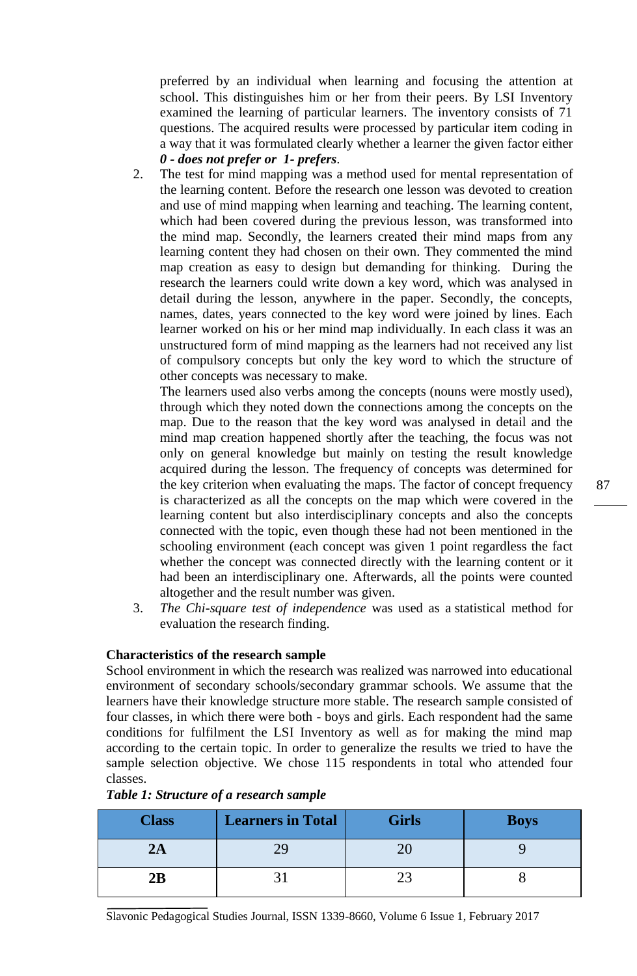preferred by an individual when learning and focusing the attention at school. This distinguishes him or her from their peers. By LSI Inventory examined the learning of particular learners. The inventory consists of 71 questions. The acquired results were processed by particular item coding in a way that it was formulated clearly whether a learner the given factor either *0 - does not prefer or 1- prefers*.

2. The test for mind mapping was a method used for mental representation of the learning content. Before the research one lesson was devoted to creation and use of mind mapping when learning and teaching. The learning content, which had been covered during the previous lesson, was transformed into the mind map. Secondly, the learners created their mind maps from any learning content they had chosen on their own. They commented the mind map creation as easy to design but demanding for thinking. During the research the learners could write down a key word, which was analysed in detail during the lesson, anywhere in the paper. Secondly, the concepts, names, dates, years connected to the key word were joined by lines. Each learner worked on his or her mind map individually. In each class it was an unstructured form of mind mapping as the learners had not received any list of compulsory concepts but only the key word to which the structure of other concepts was necessary to make.

The learners used also verbs among the concepts (nouns were mostly used), through which they noted down the connections among the concepts on the map. Due to the reason that the key word was analysed in detail and the mind map creation happened shortly after the teaching, the focus was not only on general knowledge but mainly on testing the result knowledge acquired during the lesson. The frequency of concepts was determined for the key criterion when evaluating the maps. The factor of concept frequency is characterized as all the concepts on the map which were covered in the learning content but also interdisciplinary concepts and also the concepts connected with the topic, even though these had not been mentioned in the schooling environment (each concept was given 1 point regardless the fact whether the concept was connected directly with the learning content or it had been an interdisciplinary one. Afterwards, all the points were counted altogether and the result number was given.

3. *The Chi-square test of independence* was used as a statistical method for evaluation the research finding.

# **Characteristics of the research sample**

School environment in which the research was realized was narrowed into educational environment of secondary schools/secondary grammar schools. We assume that the learners have their knowledge structure more stable. The research sample consisted of four classes, in which there were both - boys and girls. Each respondent had the same conditions for fulfilment the LSI Inventory as well as for making the mind map according to the certain topic. In order to generalize the results we tried to have the sample selection objective. We chose 115 respondents in total who attended four classes.

| <b>Class</b> | <b>Learners in Total</b> | <b>Girls</b> | <b>Boys</b> |
|--------------|--------------------------|--------------|-------------|
| 2Α           |                          |              |             |
| 2Β           |                          |              |             |

### *Table 1: Structure of a research sample*

Slavonic Pedagogical Studies Journal, ISSN 1339-8660, Volume 6 Issue 1, February 2017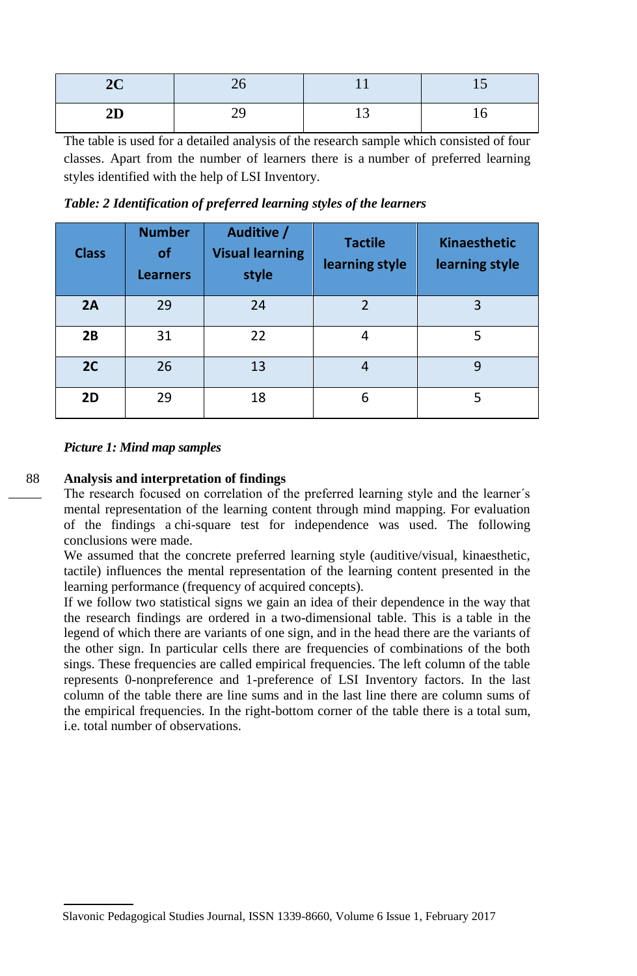| ∸⊾ |   |  |
|----|---|--|
| -- | ຼ |  |

The table is used for a detailed analysis of the research sample which consisted of four classes. Apart from the number of learners there is a number of preferred learning styles identified with the help of LSI Inventory.

| <b>Class</b> | <b>Number</b><br><b>of</b><br><b>Learners</b> | Auditive /<br><b>Visual learning</b><br>style | <b>Tactile</b><br>learning style | <b>Kinaesthetic</b><br>learning style |
|--------------|-----------------------------------------------|-----------------------------------------------|----------------------------------|---------------------------------------|
| 2A           | 29                                            | 24                                            | $\mathfrak{D}$                   | 3                                     |
| 2B           | 31                                            | 22                                            | 4                                | 5                                     |
| 2C           | 26                                            | 13                                            | 4                                | 9                                     |
| 2D           | 29                                            | 18                                            | 6                                | 5                                     |

*Table: 2 Identification of preferred learning styles of the learners* 

# *Picture 1: Mind map samples*

# 88

# **Analysis and interpretation of findings**

The research focused on correlation of the preferred learning style and the learner´s mental representation of the learning content through mind mapping. For evaluation of the findings a chi-square test for independence was used. The following conclusions were made.

We assumed that the concrete preferred learning style (auditive/visual, kinaesthetic, tactile) influences the mental representation of the learning content presented in the learning performance (frequency of acquired concepts).

If we follow two statistical signs we gain an idea of their dependence in the way that the research findings are ordered in a two-dimensional table. This is a table in the legend of which there are variants of one sign, and in the head there are the variants of the other sign. In particular cells there are frequencies of combinations of the both sings. These frequencies are called empirical frequencies. The left column of the table represents 0-nonpreference and 1-preference of LSI Inventory factors. In the last column of the table there are line sums and in the last line there are column sums of the empirical frequencies. In the right-bottom corner of the table there is a total sum, i.e. total number of observations.

Slavonic Pedagogical Studies Journal, ISSN 1339-8660, Volume 6 Issue 1, February 2017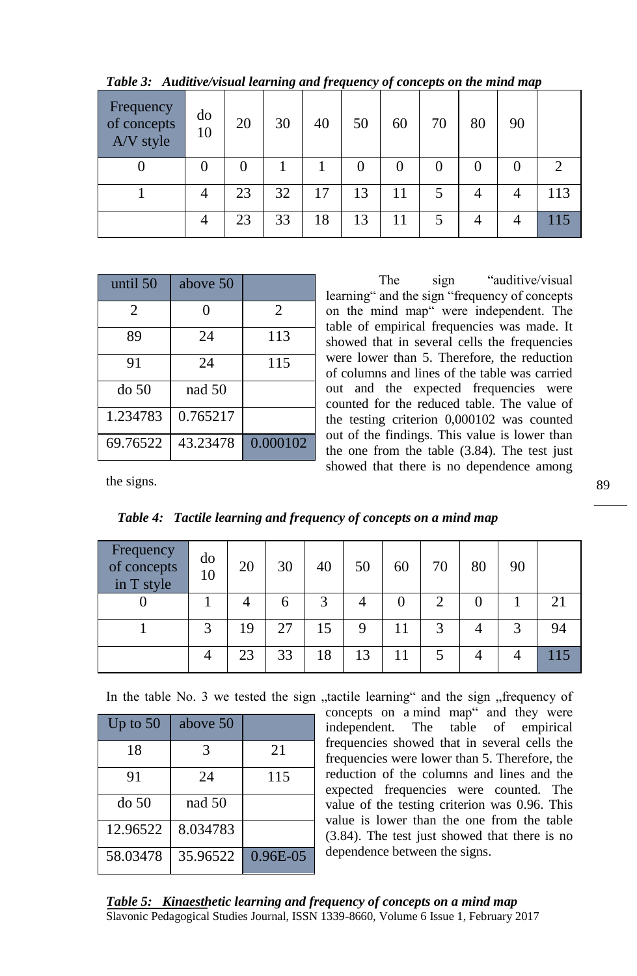| Frequency<br>of concepts<br>A/V style | do<br>10 | 20 | 30 | 40 | 50 | 60               | 70 | 80 | 90 |     |
|---------------------------------------|----------|----|----|----|----|------------------|----|----|----|-----|
| 0                                     | 0        | 0  |    |    | 0  | $\left( \right)$ |    |    |    |     |
|                                       |          | 23 | 32 | 17 | 13 | 11               |    |    |    | 113 |
|                                       |          | 23 | 33 | 18 | 13 | 11               | J  |    |    |     |

*Table 3: Auditive/visual learning and frequency of concepts on the mind map* 

| until 50       | above 50 |                |
|----------------|----------|----------------|
| $\mathfrak{D}$ | ∩        | $\mathfrak{D}$ |
| 89             | 24       | 113            |
| 91             | 24       | 115            |
| do 50          | nad 50   |                |
| 1.234783       | 0.765217 |                |
| 69.76522       | 43.23478 | 0.000102       |

The sign "auditive/visual learning" and the sign "frequency of concepts on the mind map" were independent. The table of empirical frequencies was made. It showed that in several cells the frequencies were lower than 5. Therefore, the reduction of columns and lines of the table was carried out and the expected frequencies were counted for the reduced table. The value of the testing criterion 0,000102 was counted out of the findings. This value is lower than the one from the table (3.84). The test just showed that there is no dependence among

the signs.

| Frequency<br>of concepts<br>in T style | do<br>10 | 20 | 30 | 40 | 50 | 60 | 70 | 80 | 90 |     |
|----------------------------------------|----------|----|----|----|----|----|----|----|----|-----|
|                                        |          |    | h  | 2  |    |    | ∍  |    |    | 21  |
|                                        | 3        | 19 | 27 | 15 | 9  |    | 2  |    |    | 94  |
|                                        |          | 23 | 33 | 18 | 13 |    |    |    |    | 115 |

*Table 4: Tactile learning and frequency of concepts on a mind map* 

In the table No. 3 we tested the sign "tactile learning" and the sign "frequency of

| Up to $50$ | above 50 |          |
|------------|----------|----------|
| 18         | 3        | 21       |
| 91         | 24       | 115      |
| do 50      | nad 50   |          |
| 12.96522   | 8.034783 |          |
| 58.03478   | 35.96522 | 0.96E-05 |

concepts on a mind map" and they were independent. The table of empirical frequencies showed that in several cells the frequencies were lower than 5. Therefore, the reduction of the columns and lines and the expected frequencies were counted. The value of the testing criterion was 0.96. This value is lower than the one from the table (3.84). The test just showed that there is no dependence between the signs.

Slavonic Pedagogical Studies Journal, ISSN 1339-8660, Volume 6 Issue 1, February 2017 *Table 5: Kinaesthetic learning and frequency of concepts on a mind map*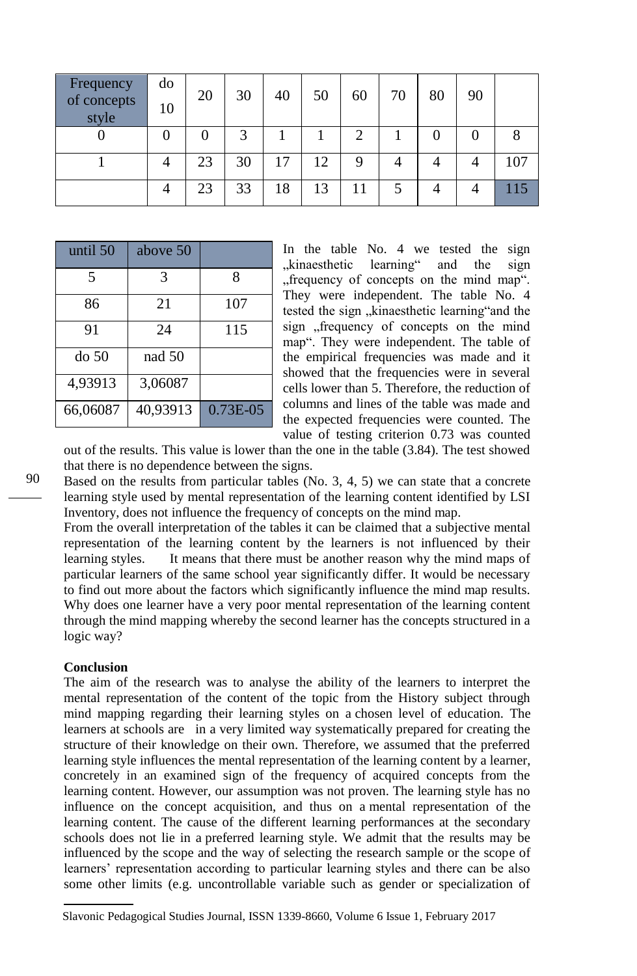| Frequency<br>of concepts<br>style | do<br>10 | 20       | 30 | 40 | 50 | 60 | 70 | 80 | 90 |     |
|-----------------------------------|----------|----------|----|----|----|----|----|----|----|-----|
|                                   | 0        | $\theta$ | 3  |    |    |    |    |    |    |     |
|                                   |          | 23       | 30 | 17 | 12 |    |    |    |    | 107 |
|                                   |          | 23       | 33 | 18 | 13 |    |    |    |    |     |

| until 50 | above 50 |             |
|----------|----------|-------------|
| 5        | 3        | 8           |
| 86       | 21       | 107         |
| 91       | 24       | 115         |
| do 50    | nad 50   |             |
| 4,93913  | 3,06087  |             |
| 66,06087 | 40,93913 | $0.73E-0.5$ |

In the table No. 4 we tested the sign "kinaesthetic learning" and the sign "frequency of concepts on the mind map". They were independent. The table No. 4 tested the sign "kinaesthetic learning"and the sign "frequency of concepts on the mind map". They were independent. The table of the empirical frequencies was made and it showed that the frequencies were in several cells lower than 5. Therefore, the reduction of columns and lines of the table was made and the expected frequencies were counted. The value of testing criterion 0.73 was counted

out of the results. This value is lower than the one in the table (3.84). The test showed that there is no dependence between the signs.

Based on the results from particular tables (No. 3, 4, 5) we can state that a concrete learning style used by mental representation of the learning content identified by LSI Inventory, does not influence the frequency of concepts on the mind map.

From the overall interpretation of the tables it can be claimed that a subjective mental representation of the learning content by the learners is not influenced by their learning styles. It means that there must be another reason why the mind maps of particular learners of the same school year significantly differ. It would be necessary to find out more about the factors which significantly influence the mind map results. Why does one learner have a very poor mental representation of the learning content through the mind mapping whereby the second learner has the concepts structured in a logic way?

### **Conclusion**

The aim of the research was to analyse the ability of the learners to interpret the mental representation of the content of the topic from the History subject through mind mapping regarding their learning styles on a chosen level of education. The learners at schools are in a very limited way systematically prepared for creating the structure of their knowledge on their own. Therefore, we assumed that the preferred learning style influences the mental representation of the learning content by a learner, concretely in an examined sign of the frequency of acquired concepts from the learning content. However, our assumption was not proven. The learning style has no influence on the concept acquisition, and thus on a mental representation of the learning content. The cause of the different learning performances at the secondary schools does not lie in a preferred learning style. We admit that the results may be influenced by the scope and the way of selecting the research sample or the scope of learners' representation according to particular learning styles and there can be also some other limits (e.g. uncontrollable variable such as gender or specialization of

Slavonic Pedagogical Studies Journal, ISSN 1339-8660, Volume 6 Issue 1, February 2017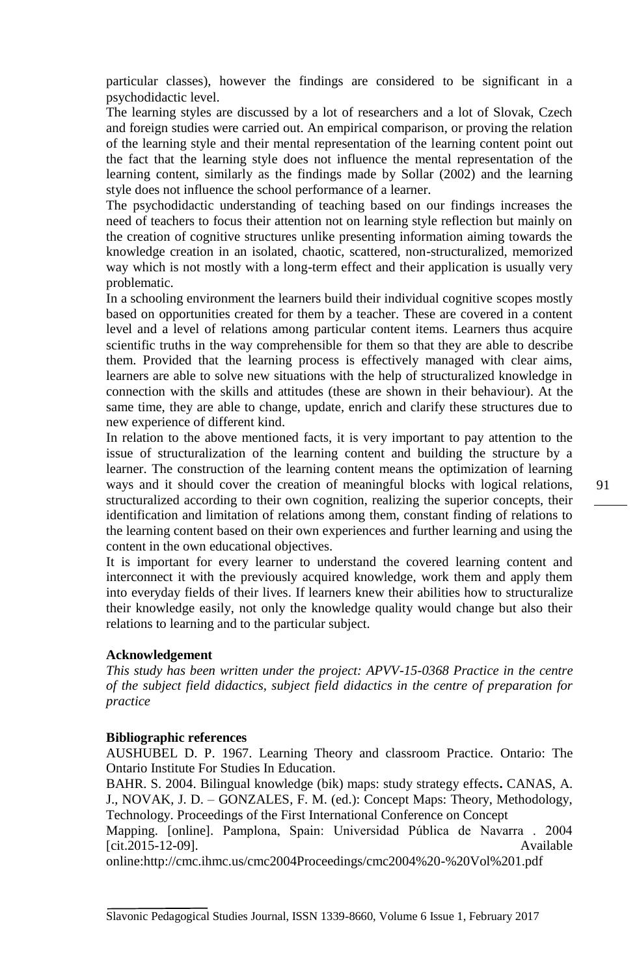particular classes), however the findings are considered to be significant in a psychodidactic level.

The learning styles are discussed by a lot of researchers and a lot of Slovak, Czech and foreign studies were carried out. An empirical comparison, or proving the relation of the learning style and their mental representation of the learning content point out the fact that the learning style does not influence the mental representation of the learning content, similarly as the findings made by Sollar (2002) and the learning style does not influence the school performance of a learner.

The psychodidactic understanding of teaching based on our findings increases the need of teachers to focus their attention not on learning style reflection but mainly on the creation of cognitive structures unlike presenting information aiming towards the knowledge creation in an isolated, chaotic, scattered, non-structuralized, memorized way which is not mostly with a long-term effect and their application is usually very problematic.

In a schooling environment the learners build their individual cognitive scopes mostly based on opportunities created for them by a teacher. These are covered in a content level and a level of relations among particular content items. Learners thus acquire scientific truths in the way comprehensible for them so that they are able to describe them. Provided that the learning process is effectively managed with clear aims, learners are able to solve new situations with the help of structuralized knowledge in connection with the skills and attitudes (these are shown in their behaviour). At the same time, they are able to change, update, enrich and clarify these structures due to new experience of different kind.

In relation to the above mentioned facts, it is very important to pay attention to the issue of structuralization of the learning content and building the structure by a learner. The construction of the learning content means the optimization of learning ways and it should cover the creation of meaningful blocks with logical relations, structuralized according to their own cognition, realizing the superior concepts, their identification and limitation of relations among them, constant finding of relations to the learning content based on their own experiences and further learning and using the content in the own educational objectives.

It is important for every learner to understand the covered learning content and interconnect it with the previously acquired knowledge, work them and apply them into everyday fields of their lives. If learners knew their abilities how to structuralize their knowledge easily, not only the knowledge quality would change but also their relations to learning and to the particular subject.

### **Acknowledgement**

*This study has been written under the project: APVV-15-0368 Practice in the centre of the subject field didactics, subject field didactics in the centre of preparation for practice*

#### **Bibliographic references**

AUSHUBEL D. P. 1967. Learning Theory and classroom Practice. Ontario: The Ontario Institute For Studies In Education.

BAHR. S. 2004. Bilingual knowledge (bik) maps: study strategy effects**.** CANAS, A. J., NOVAK, J. D. – GONZALES, F. M. (ed.): Concept Maps: Theory, Methodology, Technology. Proceedings of the First International Conference on Concept

Mapping. [online]. Pamplona, Spain: Universidad Pública de Navarra . 2004 [cit.2015-12-09]. Available

online[:http://cmc.ihmc.us/cmc2004Proceedings/cmc2004%20-%20Vol%201.pdf](http://cmc.ihmc.us/cmc2004Proceedings/cmc2004%20-%20Vol%201.pdf)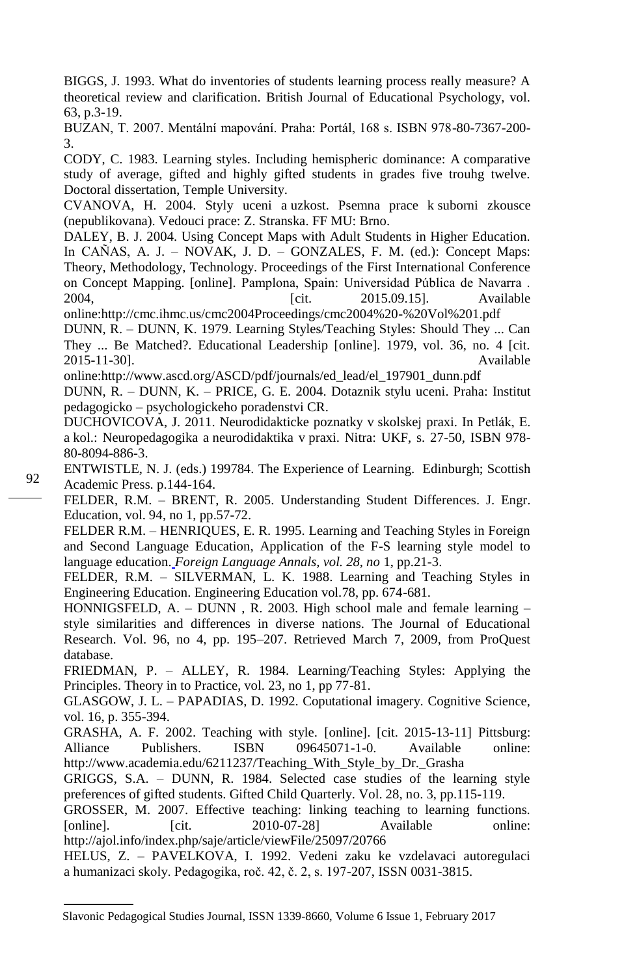BIGGS, J. 1993. What do inventories of students learning process really measure? A theoretical review and clarification. British Journal of Educational Psychology, vol. 63, p.3-19.

BUZAN, T. 2007. Mentální mapování. Praha: Portál, 168 s. ISBN 978-80-7367-200- 3.

CODY, C. 1983. Learning styles. Including hemispheric dominance: A comparative study of average, gifted and highly gifted students in grades five trouhg twelve. Doctoral dissertation, Temple University.

CVANOVA, H. 2004. Styly uceni a uzkost. Psemna prace k suborni zkousce (nepublikovana). Vedouci prace: Z. Stranska. FF MU: Brno.

DALEY, B. J. 2004. Using Concept Maps with Adult Students in Higher Education. In CAÑAS, A. J. – NOVAK, J. D. – GONZALES, F. M. (ed.): Concept Maps: Theory, Methodology, Technology. Proceedings of the First International Conference on Concept Mapping. [online]. Pamplona, Spain: Universidad Pública de Navarra . 2004, [cit. 2015.09.15]. Available onlin[e:http://cmc.ihmc.us/cmc2004Proceedings/cmc2004%20-%20Vol%201.pdf](http://cmc.ihmc.us/cmc2004Proceedings/cmc2004%20-%20Vol%201.pdf)

DUNN, R. – DUNN, K. 1979. Learning Styles/Teaching Styles: Should They ... Can They ... Be Matched?. Educational Leadership [online]. 1979, vol. 36, no. 4 [cit. 2015-11-30]. Available

onlin[e:http://www.ascd.org/ASCD/pdf/journals/ed\\_lead/el\\_197901\\_dunn.pdf](http://www.ascd.org/ASCD/pdf/journals/ed_lead/el_197901_dunn.pdf)

DUNN, R. – DUNN, K. – PRICE, G. E. 2004. Dotaznik stylu uceni. Praha: Institut pedagogicko – psychologickeho poradenstvi CR.

DUCHOVICOVA, J. 2011. Neurodidakticke poznatky v skolskej praxi. In Petlák, E. a kol.: Neuropedagogika a neurodidaktika v praxi. Nitra: UKF, s. 27-50, ISBN 978- 80-8094-886-3.

ENTWISTLE, N. J. (eds.) 199784. The Experience of Learning. Edinburgh; Scottish Academic Press. p.144-164.

FELDER, R.M. – BRENT, R. 2005. [Understanding Student Differences.](http://www4.ncsu.edu/unity/lockers/users/f/felder/public/Papers/Understanding_Differences.pdf) J. Engr. Education, vol. 94, no 1, pp.57-72.

FELDER R.M. – HENRIQUES, E. R. 1995. [Learning and Teaching Styles in Foreign](http://www4.ncsu.edu/unity/lockers/users/f/felder/public/Papers/FLAnnals.pdf)  [and Second Language Education, Application of the F-S learning style model to](http://www4.ncsu.edu/unity/lockers/users/f/felder/public/Papers/FLAnnals.pdf)  [language education.](http://www4.ncsu.edu/unity/lockers/users/f/felder/public/Papers/FLAnnals.pdf) *Foreign Language Annals, vol. 28, no* 1, pp.21-3.

FELDER, R.M. – SILVERMAN, L. K. 1988. Learning and Teaching Styles in Engineering Education. Engineering Education vol.78, pp. 674-681.

HONNIGSFELD, A. – DUNN , R. 2003. High school male and female learning – style similarities and differences in diverse nations. The Journal of Educational Research. Vol. 96, no 4, pp. 195–207. Retrieved March 7, 2009, from ProQuest database.

FRIEDMAN, P. – ALLEY, R. 1984. Learning/Teaching Styles: Applying the Principles. Theory in to Practice, vol. 23, no 1, pp 77-81.

GLASGOW, J. L. – PAPADIAS, D. 1992. Coputational imagery. Cognitive Science, vol. 16, p. 355-394.

GRASHA, A. F. 2002. Teaching with style. [online]. [cit. 2015-13-11] Pittsburg: Alliance Publishers. ISBN 09645071-1-0. Available online: http://www.academia.edu/6211237/Teaching\_With\_Style\_by\_Dr.\_Grasha

GRIGGS, S.A. – DUNN, R. 1984. Selected case studies of the learning style preferences of gifted students. Gifted Child Quarterly. Vol. 28, no. 3, pp.115-119.

GROSSER, M. 2007. Effective teaching: linking teaching to learning functions. [online]. [cit. 2010-07-28] Available online: <http://ajol.info/index.php/saje/article/viewFile/25097/20766>

HELUS, Z. – PAVELKOVA, I. 1992. Vedeni zaku ke vzdelavaci autoregulaci a humanizaci skoly. Pedagogika, roč. 42, č. 2, s. 197-207, ISSN 0031-3815.

Slavonic Pedagogical Studies Journal, ISSN 1339-8660, Volume 6 Issue 1, February 2017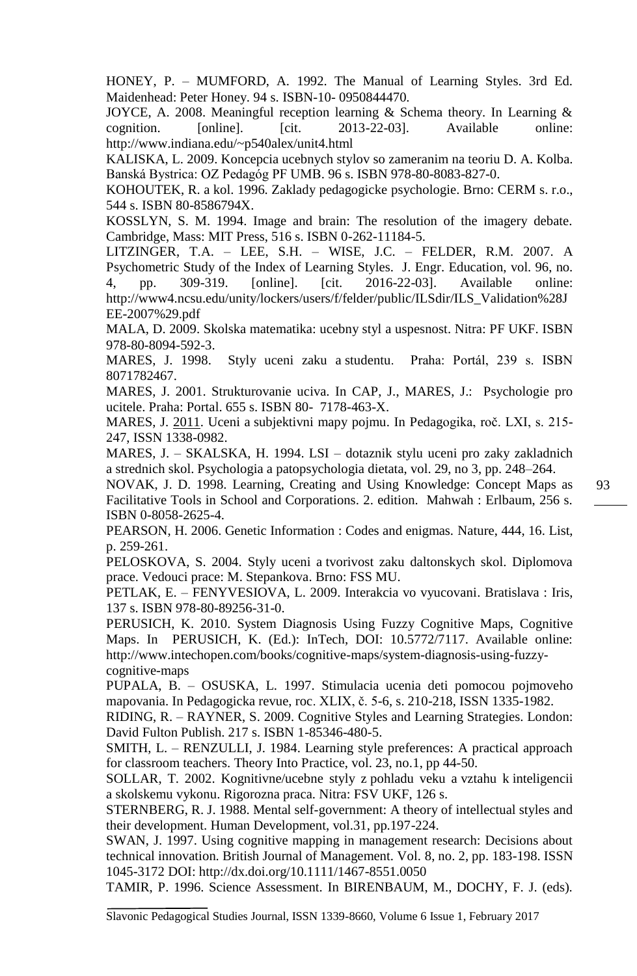HONEY, P. – MUMFORD, A. 1992. The Manual of Learning Styles. 3rd Ed. Maidenhead: Peter Honey. 94 s. ISBN-10- 0950844470.

JOYCE, A. 2008. Meaningful reception learning & Schema theory. In Learning & cognition. [online]. [cit. 2013-22-03]. Available online: <http://www.indiana.edu/~p540alex/unit4.html>

KALISKA, L. 2009. Koncepcia ucebnych stylov so zameranim na teoriu D. A. Kolba. Banská Bystrica: OZ Pedagóg PF UMB. 96 s. ISBN 978-80-8083-827-0.

KOHOUTEK, R. a kol. 1996. Zaklady pedagogicke psychologie. Brno: CERM s. r.o., 544 s. ISBN 80-8586794X.

KOSSLYN, S. M. 1994. Image and brain: The resolution of the imagery debate. Cambridge, Mass: MIT Press, 516 s. ISBN 0-262-11184-5.

LITZINGER, T.A. – LEE, S.H. – WISE, J.C. – FELDER, R.M. 2007. [A](http://www4.ncsu.edu/unity/lockers/users/f/felder/public/ILSdir/ILS_Validation%28JEE-2007%29.pdf)  [Psychometric Study of the Index of Learning Styles.](http://www4.ncsu.edu/unity/lockers/users/f/felder/public/ILSdir/ILS_Validation%28JEE-2007%29.pdf) J. Engr. Education, vol. 96, no. 4, pp. 309-319. [online]. [cit. 2016-22-03]. Available online: http://www4.ncsu.edu/unity/lockers/users/f/felder/public/ILSdir/ILS\_Validation%28J EE-2007%29.pdf

MALA, D. 2009. Skolska matematika: ucebny styl a uspesnost. Nitra: PF UKF. ISBN 978-80-8094-592-3.

MARES, J. 1998. Styly uceni zaku a studentu. Praha: Portál, 239 s. ISBN 8071782467.

MARES, J. 2001. Strukturovanie uciva. In CAP, J., MARES, J.: Psychologie pro ucitele. Praha: Portal. 655 s. ISBN 80- 7178-463-X.

MARES, J. 2011. Uceni a subjektivni mapy pojmu. In Pedagogika, roč. LXI, s. 215- 247, ISSN 1338-0982.

MARES, J. – SKALSKA, H. 1994. LSI – dotaznik stylu uceni pro zaky zakladnich a strednich skol. Psychologia a patopsychologia dietata, vol. 29, no 3, pp. 248–264.

NOVAK, J. D. 1998. Learning, Creating and Using Knowledge: Concept Maps as Facilitative Tools in School and Corporations. 2. edition. Mahwah : Erlbaum, 256 s. ISBN 0-8058-2625-4.

PEARSON, H. 2006. Genetic Information : Codes and enigmas. Nature, 444, 16. List, p. 259-261.

PELOSKOVA, S. 2004. Styly uceni a tvorivost zaku daltonskych skol. Diplomova prace. Vedouci prace: M. Stepankova. Brno: FSS MU.

PETLAK, E. – FENYVESIOVA, L. 2009. Interakcia vo vyucovani. Bratislava : Iris, 137 s. ISBN 978-80-89256-31-0.

PERUSICH, K. 2010. System Diagnosis Using Fuzzy Cognitive Maps, Cognitive Maps. In PERUSICH, K. (Ed.): InTech, DOI: 10.5772/7117. Available online: [http://www.intechopen.com/books/cognitive-maps/system-diagnosis-using-fuzzy](http://www.intechopen.com/books/cognitive-maps/system-diagnosis-using-fuzzy-cognitive-maps)[cognitive-maps](http://www.intechopen.com/books/cognitive-maps/system-diagnosis-using-fuzzy-cognitive-maps)

PUPALA, B. – OSUSKA, L. 1997. Stimulacia ucenia deti pomocou pojmoveho mapovania. In Pedagogicka revue, roc. XLIX, č. 5-6, s. 210-218, ISSN 1335-1982.

RIDING, R. – RAYNER, S. 2009. Cognitive Styles and Learning Strategies. London: David Fulton Publish. 217 s. ISBN 1-85346-480-5.

SMITH, L. – RENZULLI, J. 1984. Learning style preferences: A practical approach for classroom teachers. Theory Into Practice, vol. 23, no.1, pp 44-50.

SOLLAR, T. 2002. Kognitivne/ucebne styly z pohladu veku a vztahu k inteligencii a skolskemu vykonu. Rigorozna praca. Nitra: FSV UKF, 126 s.

STERNBERG, R. J. 1988. Mental self-government: A theory of intellectual styles and their development. Human Development, vol.31, pp.197-224.

SWAN, J. 1997. Using cognitive mapping in management research: Decisions about technical innovation. British Journal of Management. Vol. 8, no. 2, pp. 183-198. ISSN 1045-3172 DOI:<http://dx.doi.org/10.1111/1467-8551.0050>

TAMIR, P. 1996. Science Assessment. In BIRENBAUM, M., DOCHY, F. J. (eds).

Slavonic Pedagogical Studies Journal, ISSN 1339-8660, Volume 6 Issue 1, February 2017